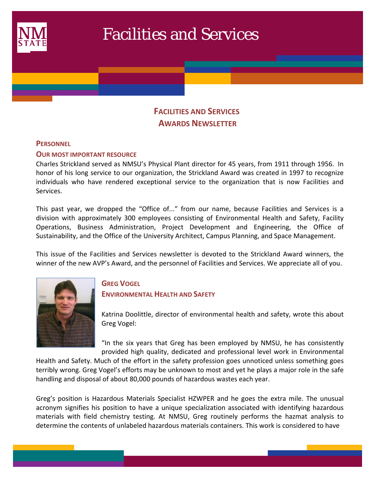

# Facilities and Services

# **FACILITIES AND SERVICES AWARDS NEWSLETTER**

## **PERSONNEL**

 $\mathcal{L}(\mathcal{L})$ 

#### **OUR MOST IMPORTANT RESOURCE**

Charles Strickland served as NMSU's Physical Plant director for 45 years, from 1911 through 1956. In honor of his long service to our organization, the Strickland Award was created in 1997 to recognize individuals who have rendered exceptional service to the organization that is now Facilities and Services.

This past year, we dropped the "Office of..." from our name, because Facilities and Services is a division with approximately 300 employees consisting of Environmental Health and Safety, Facility Operations, Business Administration, Project Development and Engineering, the Office of Sustainability, and the Office of the University Architect, Campus Planning, and Space Management.

This issue of the Facilities and Services newsletter is devoted to the Strickland Award winners, the winner of the new AVP's Award, and the personnel of Facilities and Services. We appreciate all of you.



# **GREG VOGEL ENVIRONMENTAL HEALTH AND SAFETY**

Katrina Doolittle, director of environmental health and safety, wrote this about Greg Vogel:

"In the six years that Greg has been employed by NMSU, he has consistently provided high quality, dedicated and professional level work in Environmental

Health and Safety. Much of the effort in the safety profession goes unnoticed unless something goes terribly wrong. Greg Vogel's efforts may be unknown to most and yet he plays a major role in the safe handling and disposal of about 80,000 pounds of hazardous wastes each year.

Greg's position is Hazardous Materials Specialist HZWPER and he goes the extra mile. The unusual acronym signifies his position to have a unique specialization associated with identifying hazardous materials with field chemistry testing. At NMSU, Greg routinely performs the hazmat analysis to determine the contents of unlabeled hazardous materials containers. This work is considered to have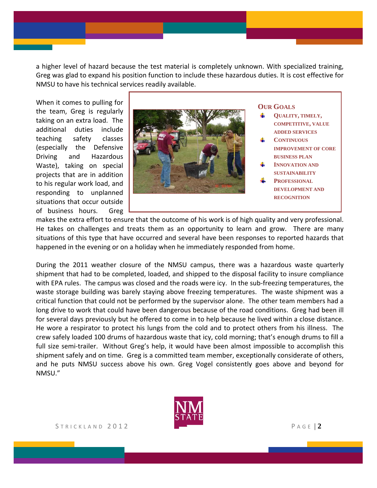a higher level of hazard because the test material is completely unknown. With specialized training, Greg was glad to expand his position function to include these hazardous duties. It is cost effective for NMSU to have his technical services readily available.

When it comes to pulling for the team, Greg is regularly taking on an extra load. The additional duties include teaching safety classes (especially the Defensive Driving and Hazardous Waste), taking on special projects that are in addition to his regular work load, and responding to unplanned situations that occur outside of business hours. Greg



makes the extra effort to ensure that the outcome of his work is of high quality and very professional. He takes on challenges and treats them as an opportunity to learn and grow. There are many situations of this type that have occurred and several have been responses to reported hazards that happened in the evening or on a holiday when he immediately responded from home.

During the 2011 weather closure of the NMSU campus, there was a hazardous waste quarterly shipment that had to be completed, loaded, and shipped to the disposal facility to insure compliance with EPA rules. The campus was closed and the roads were icy. In the sub-freezing temperatures, the waste storage building was barely staying above freezing temperatures. The waste shipment was a critical function that could not be performed by the supervisor alone. The other team members had a long drive to work that could have been dangerous because of the road conditions. Greg had been ill for several days previously but he offered to come in to help because he lived within a close distance. He wore a respirator to protect his lungs from the cold and to protect others from his illness. The crew safely loaded 100 drums of hazardous waste that icy, cold morning; that's enough drums to fill a full size semi-trailer. Without Greg's help, it would have been almost impossible to accomplish this shipment safely and on time. Greg is a committed team member, exceptionally considerate of others, and he puts NMSU success above his own. Greg Vogel consistently goes above and beyond for NMSU."

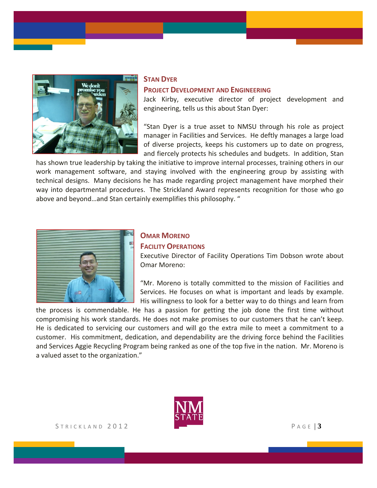

#### **STAN DYER**

#### **PROJECT DEVELOPMENT AND ENGINEERING**

Jack Kirby, executive director of project development and engineering, tells us this about Stan Dyer:

"Stan Dyer is a true asset to NMSU through his role as project manager in Facilities and Services. He deftly manages a large load of diverse projects, keeps his customers up to date on progress, and fiercely protects his schedules and budgets. In addition, Stan

has shown true leadership by taking the initiative to improve internal processes, training others in our work management software, and staying involved with the engineering group by assisting with technical designs. Many decisions he has made regarding project management have morphed their way into departmental procedures. The Strickland Award represents recognition for those who go above and beyond…and Stan certainly exemplifies this philosophy. "



# **OMAR MORENO FACILITY OPERATIONS**

Executive Director of Facility Operations Tim Dobson wrote about Omar Moreno:

"Mr. Moreno is totally committed to the mission of Facilities and Services. He focuses on what is important and leads by example. His willingness to look for a better way to do things and learn from

the process is commendable. He has a passion for getting the job done the first time without compromising his work standards. He does not make promises to our customers that he can't keep. He is dedicated to servicing our customers and will go the extra mile to meet a commitment to a customer. His commitment, dedication, and dependability are the driving force behind the Facilities and Services Aggie Recycling Program being ranked as one of the top five in the nation. Mr. Moreno is a valued asset to the organization."

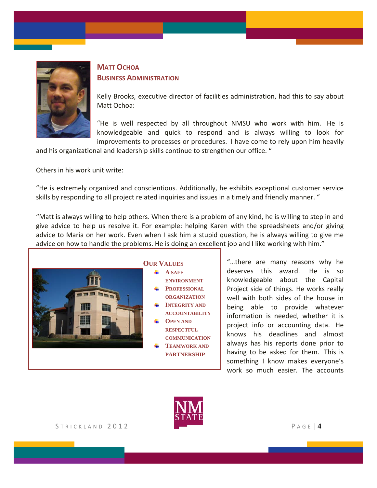

# **MATT OCHOA BUSINESS ADMINISTRATION**

Kelly Brooks, executive director of facilities administration, had this to say about Matt Ochoa:

"He is well respected by all throughout NMSU who work with him. He is knowledgeable and quick to respond and is always willing to look for improvements to processes or procedures. I have come to rely upon him heavily

and his organizational and leadership skills continue to strengthen our office. "

Others in his work unit write:

"He is extremely organized and conscientious. Additionally, he exhibits exceptional customer service skills by responding to all project related inquiries and issues in a timely and friendly manner. "

"Matt is always willing to help others. When there is a problem of any kind, he is willing to step in and give advice to help us resolve it. For example: helping Karen with the spreadsheets and/or giving advice to Maria on her work. Even when I ask him a stupid question, he is always willing to give me advice on how to handle the problems. He is doing an excellent job and I like working with him."



"…there are many reasons why he deserves this award. He is so knowledgeable about the Capital Project side of things. He works really well with both sides of the house in being able to provide whatever information is needed, whether it is project info or accounting data. He knows his deadlines and almost always has his reports done prior to having to be asked for them. This is something I know makes everyone's work so much easier. The accounts

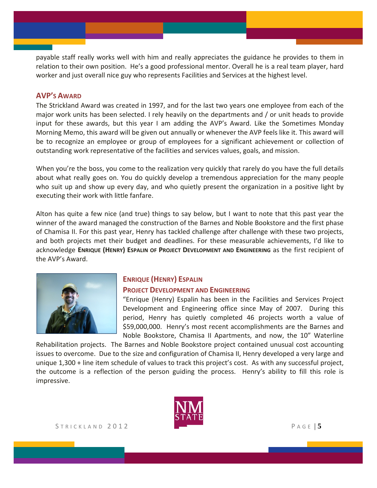payable staff really works well with him and really appreciates the guidance he provides to them in relation to their own position. He's a good professional mentor. Overall he is a real team player, hard worker and just overall nice guy who represents Facilities and Services at the highest level.

## **AVP'S AWARD**

The Strickland Award was created in 1997, and for the last two years one employee from each of the major work units has been selected. I rely heavily on the departments and / or unit heads to provide input for these awards, but this year I am adding the AVP's Award. Like the Sometimes Monday Morning Memo, this award will be given out annually or whenever the AVP feels like it. This award will be to recognize an employee or group of employees for a significant achievement or collection of outstanding work representative of the facilities and services values, goals, and mission.

When you're the boss, you come to the realization very quickly that rarely do you have the full details about what really goes on. You do quickly develop a tremendous appreciation for the many people who suit up and show up every day, and who quietly present the organization in a positive light by executing their work with little fanfare.

Alton has quite a few nice (and true) things to say below, but I want to note that this past year the winner of the award managed the construction of the Barnes and Noble Bookstore and the first phase of Chamisa II. For this past year, Henry has tackled challenge after challenge with these two projects, and both projects met their budget and deadlines. For these measurable achievements, I'd like to acknowledge **ENRIQUE (HENRY) ESPALIN OF PROJECT DEVELOPMENT AND ENGINEERING** as the first recipient of the AVP's Award.



# **ENRIQUE (HENRY) ESPALIN**

#### **PROJECT DEVELOPMENT AND ENGINEERING**

"Enrique (Henry) Espalin has been in the Facilities and Services Project Development and Engineering office since May of 2007. During this period, Henry has quietly completed 46 projects worth a value of \$59,000,000. Henry's most recent accomplishments are the Barnes and Noble Bookstore, Chamisa II Apartments, and now, the 10" Waterline

Rehabilitation projects. The Barnes and Noble Bookstore project contained unusual cost accounting issues to overcome. Due to the size and configuration of Chamisa II, Henry developed a very large and unique 1,300 + line item schedule of values to track this project's cost. As with any successful project, the outcome is a reflection of the person guiding the process. Henry's ability to fill this role is impressive.

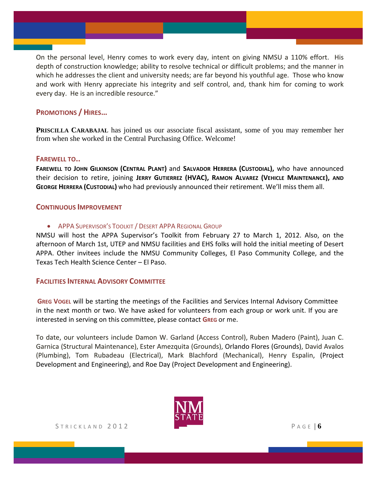On the personal level, Henry comes to work every day, intent on giving NMSU a 110% effort. His depth of construction knowledge; ability to resolve technical or difficult problems; and the manner in which he addresses the client and university needs; are far beyond his youthful age. Those who know and work with Henry appreciate his integrity and self control, and, thank him for coming to work every day. He is an incredible resource."

## **PROMOTIONS / HIRES…**

**PRISCILLA CARABAJAL** has joined us our associate fiscal assistant, some of you may remember her from when she worked in the Central Purchasing Office. Welcome!

# **FAREWELL TO..**

**FAREWELL TO JOHN GILKINSON (CENTRAL PLANT)** and **SALVADOR HERRERA (CUSTODIAL),** who have announced their decision to retire, joining **JERRY GUTIERREZ (HVAC), RAMON ALVAREZ (VEHICLE MAINTENANCE), AND GEORGE HERRERA (CUSTODIAL)** who had previously announced their retirement. We'll miss them all.

## **CONTINUOUS IMPROVEMENT**

APPA SUPERVISOR'S TOOLKIT / DESERT APPA REGIONAL GROUP

NMSU will host the APPA Supervisor's Toolkit from February 27 to March 1, 2012. Also, on the afternoon of March 1st, UTEP and NMSU facilities and EHS folks will hold the initial meeting of Desert APPA. Other invitees include the NMSU Community Colleges, El Paso Community College, and the Texas Tech Health Science Center – El Paso.

## **FACILITIES INTERNAL ADVISORY COMMITTEE**

**GREG VOGEL** will be starting the meetings of the Facilities and Services Internal Advisory Committee in the next month or two. We have asked for volunteers from each group or work unit. If you are interested in serving on this committee, please contact **GREG** or me.

To date, our volunteers include Damon W. Garland (Access Control), Ruben Madero (Paint), Juan C. Garnica (Structural Maintenance), Ester Amezquita (Grounds), Orlando Flores (Grounds), David Avalos (Plumbing), Tom Rubadeau (Electrical), Mark Blachford (Mechanical), Henry Espalin, (Project Development and Engineering), and Roe Day (Project Development and Engineering).